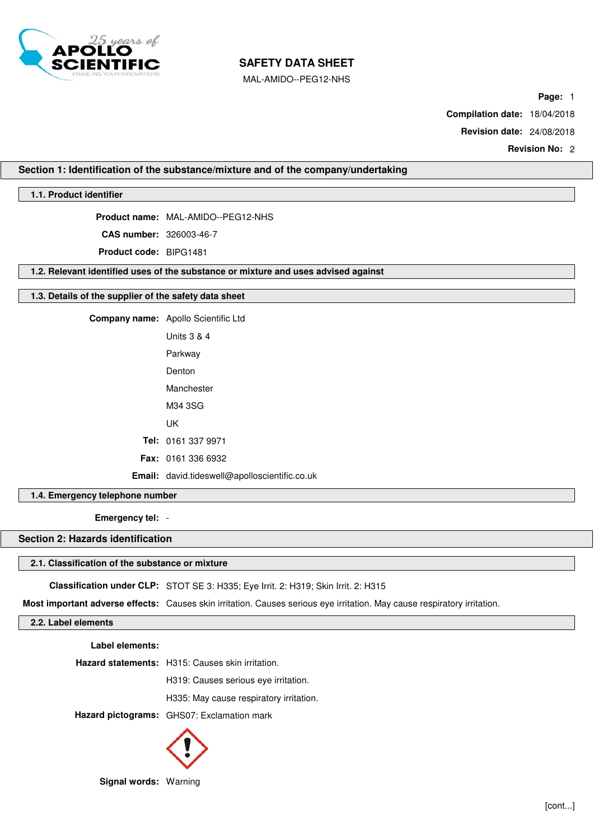

MAL-AMIDO--PEG12-NHS

**Page:** 1

**Compilation date:** 18/04/2018

**Revision date:** 24/08/2018

**Revision No:** 2

# **Section 1: Identification of the substance/mixture and of the company/undertaking**

# **1.1. Product identifier**

**Product name:** MAL-AMIDO--PEG12-NHS

**CAS number:** 326003-46-7

**Product code:** BIPG1481

**1.2. Relevant identified uses of the substance or mixture and uses advised against**

### **1.3. Details of the supplier of the safety data sheet**

**Company name:** Apollo Scientific Ltd Units 3 & 4 Parkway Denton Manchester M34 3SG UK

**Tel:** 0161 337 9971 **Fax:** 0161 336 6932

**Email:** david.tideswell@apolloscientific.co.uk

### **1.4. Emergency telephone number**

**Emergency tel:** -

# **Section 2: Hazards identification**

# **2.1. Classification of the substance or mixture**

**Classification under CLP:** STOT SE 3: H335; Eye Irrit. 2: H319; Skin Irrit. 2: H315

**Most important adverse effects:** Causes skin irritation. Causes serious eye irritation. May cause respiratory irritation.

# **2.2. Label elements**

**Label elements:**

**Hazard statements:** H315: Causes skin irritation.

H319: Causes serious eye irritation.

H335: May cause respiratory irritation.

**Hazard pictograms:** GHS07: Exclamation mark



**Signal words:** Warning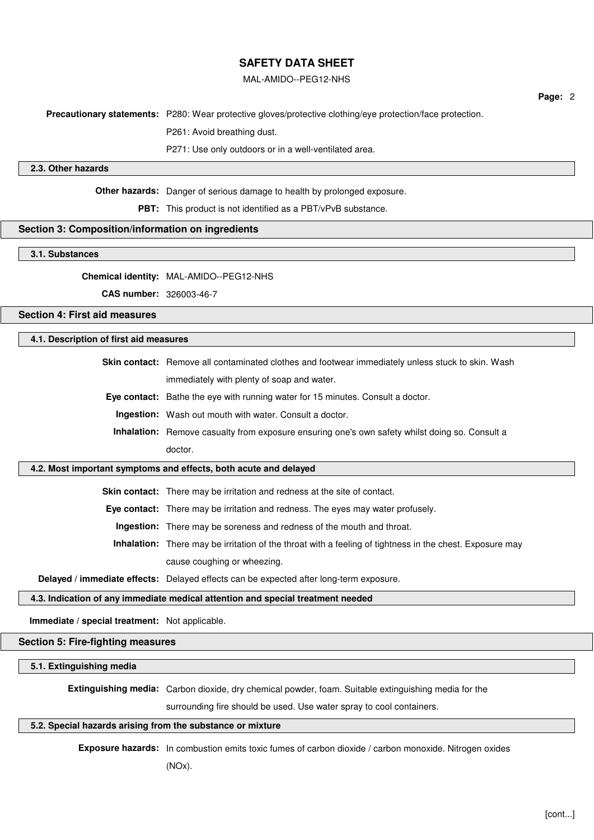### MAL-AMIDO--PEG12-NHS

**Page:** 2

**Precautionary statements:** P280: Wear protective gloves/protective clothing/eye protection/face protection.

P261: Avoid breathing dust.

P271: Use only outdoors or in a well-ventilated area.

# **2.3. Other hazards**

**Other hazards:** Danger of serious damage to health by prolonged exposure.

**PBT:** This product is not identified as a PBT/vPvB substance.

# **Section 3: Composition/information on ingredients**

### **3.1. Substances**

**Chemical identity:** MAL-AMIDO--PEG12-NHS

**CAS number:** 326003-46-7

# **Section 4: First aid measures**

### **4.1. Description of first aid measures**

**Skin contact:** Remove all contaminated clothes and footwear immediately unless stuck to skin. Wash immediately with plenty of soap and water.

**Eye contact:** Bathe the eye with running water for 15 minutes. Consult a doctor.

**Ingestion:** Wash out mouth with water. Consult a doctor.

**Inhalation:** Remove casualty from exposure ensuring one's own safety whilst doing so. Consult a doctor.

# **4.2. Most important symptoms and effects, both acute and delayed**

**Skin contact:** There may be irritation and redness at the site of contact.

**Eye contact:** There may be irritation and redness. The eyes may water profusely.

**Ingestion:** There may be soreness and redness of the mouth and throat.

**Inhalation:** There may be irritation of the throat with a feeling of tightness in the chest. Exposure may cause coughing or wheezing.

**Delayed / immediate effects:** Delayed effects can be expected after long-term exposure.

## **4.3. Indication of any immediate medical attention and special treatment needed**

**Immediate / special treatment:** Not applicable.

## **Section 5: Fire-fighting measures**

### **5.1. Extinguishing media**

**Extinguishing media:** Carbon dioxide, dry chemical powder, foam. Suitable extinguishing media for the

surrounding fire should be used. Use water spray to cool containers.

# **5.2. Special hazards arising from the substance or mixture**

**Exposure hazards:** In combustion emits toxic fumes of carbon dioxide / carbon monoxide. Nitrogen oxides

(NOx).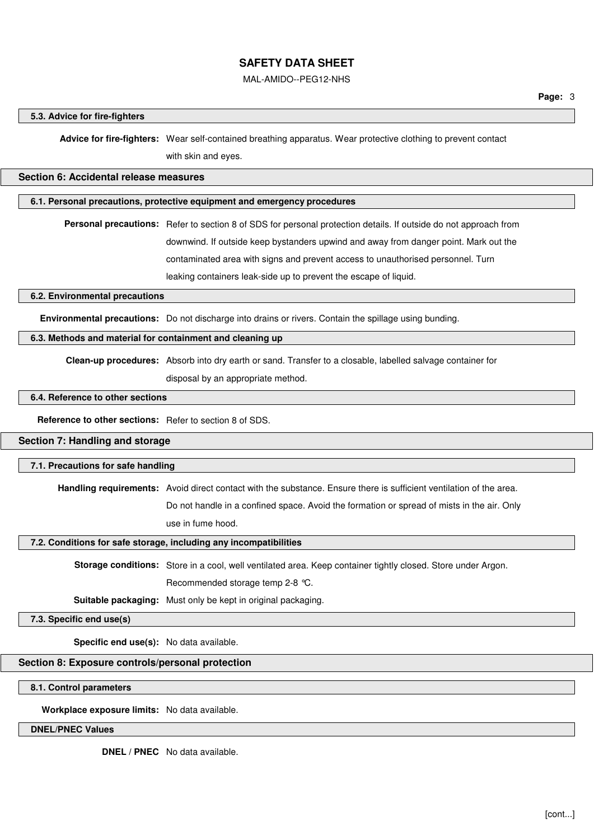### MAL-AMIDO--PEG12-NHS

#### **5.3. Advice for fire-fighters**

**Advice for fire-fighters:** Wear self-contained breathing apparatus. Wear protective clothing to prevent contact with skin and eyes.

**Section 6: Accidental release measures**

# **6.1. Personal precautions, protective equipment and emergency procedures**

**Personal precautions:** Refer to section 8 of SDS for personal protection details. If outside do not approach from downwind. If outside keep bystanders upwind and away from danger point. Mark out the contaminated area with signs and prevent access to unauthorised personnel. Turn leaking containers leak-side up to prevent the escape of liquid.

**6.2. Environmental precautions**

**Environmental precautions:** Do not discharge into drains or rivers. Contain the spillage using bunding.

### **6.3. Methods and material for containment and cleaning up**

**Clean-up procedures:** Absorb into dry earth or sand. Transfer to a closable, labelled salvage container for

disposal by an appropriate method.

# **6.4. Reference to other sections**

**Reference to other sections:** Refer to section 8 of SDS.

# **Section 7: Handling and storage**

# **7.1. Precautions for safe handling**

**Handling requirements:** Avoid direct contact with the substance. Ensure there is sufficient ventilation of the area.

Do not handle in a confined space. Avoid the formation or spread of mists in the air. Only

use in fume hood.

## **7.2. Conditions for safe storage, including any incompatibilities**

**Storage conditions:** Store in a cool, well ventilated area. Keep container tightly closed. Store under Argon. Recommended storage temp 2-8 °C.

**Suitable packaging:** Must only be kept in original packaging.

**7.3. Specific end use(s)**

**Specific end use(s):** No data available.

**Section 8: Exposure controls/personal protection**

**8.1. Control parameters**

**Workplace exposure limits:** No data available.

**DNEL/PNEC Values**

**DNEL / PNEC** No data available.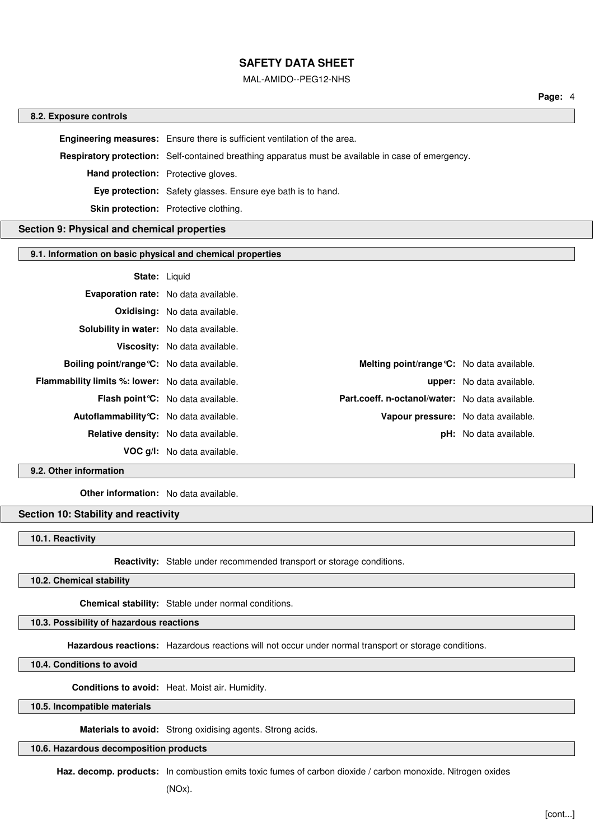#### MAL-AMIDO--PEG12-NHS

#### **8.2. Exposure controls**

**Engineering measures:** Ensure there is sufficient ventilation of the area. **Respiratory protection:** Self-contained breathing apparatus must be available in case of emergency. **Hand protection:** Protective gloves. **Eye protection:** Safety glasses. Ensure eye bath is to hand. **Skin protection:** Protective clothing.

# **Section 9: Physical and chemical properties**

### **9.1. Information on basic physical and chemical properties**

#### **State:** Liquid

| <b>Evaporation rate:</b> No data available.             |                                                                                              |                                            |
|---------------------------------------------------------|----------------------------------------------------------------------------------------------|--------------------------------------------|
|                                                         | <b>Oxidising:</b> No data available.                                                         |                                            |
| Solubility in water: No data available.                 |                                                                                              |                                            |
|                                                         | Viscosity: No data available.                                                                |                                            |
| <b>Boiling point/range °C:</b> No data available.       |                                                                                              | Melting point/range °C: No data available. |
| <b>Flammability limits %: lower:</b> No data available. |                                                                                              | <b>upper:</b> No data available.           |
|                                                         | Part.coeff. n-octanol/water: No data available.<br><b>Flash point °C:</b> No data available. |                                            |
| Autoflammability °C: No data available.                 |                                                                                              | Vapour pressure: No data available.        |
| Relative density: No data available.                    |                                                                                              | <b>pH:</b> No data available.              |
|                                                         | <b>VOC g/l:</b> No data available.                                                           |                                            |

**9.2. Other information**

**Other information:** No data available.

## **Section 10: Stability and reactivity**

**10.1. Reactivity**

**Reactivity:** Stable under recommended transport or storage conditions.

### **10.2. Chemical stability**

**Chemical stability:** Stable under normal conditions.

# **10.3. Possibility of hazardous reactions**

**Hazardous reactions:** Hazardous reactions will not occur under normal transport or storage conditions.

**10.4. Conditions to avoid**

**Conditions to avoid:** Heat. Moist air. Humidity.

**10.5. Incompatible materials**

**Materials to avoid:** Strong oxidising agents. Strong acids.

### **10.6. Hazardous decomposition products**

**Haz. decomp. products:** In combustion emits toxic fumes of carbon dioxide / carbon monoxide. Nitrogen oxides

(NOx).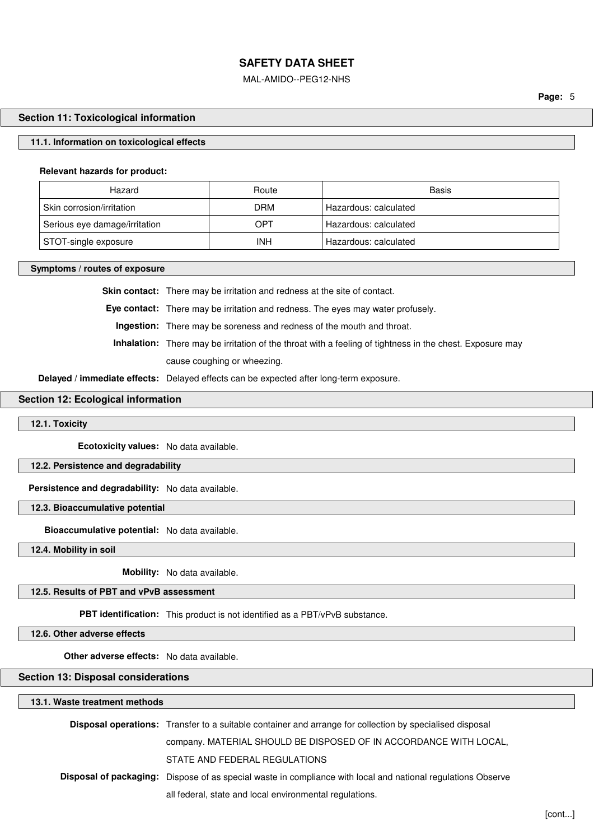### MAL-AMIDO--PEG12-NHS

### **Section 11: Toxicological information**

### **11.1. Information on toxicological effects**

#### **Relevant hazards for product:**

| Hazard                        | Route | Basis                 |
|-------------------------------|-------|-----------------------|
| Skin corrosion/irritation     | DRM   | Hazardous: calculated |
| Serious eye damage/irritation | OPT   | Hazardous: calculated |
| STOT-single exposure          | INH   | Hazardous: calculated |

# **Symptoms / routes of exposure**

**Skin contact:** There may be irritation and redness at the site of contact.

**Eye contact:** There may be irritation and redness. The eyes may water profusely.

**Ingestion:** There may be soreness and redness of the mouth and throat.

**Inhalation:** There may be irritation of the throat with a feeling of tightness in the chest. Exposure may cause coughing or wheezing.

**Delayed / immediate effects:** Delayed effects can be expected after long-term exposure.

# **Section 12: Ecological information**

# **12.1. Toxicity**

**Ecotoxicity values:** No data available.

**12.2. Persistence and degradability**

**Persistence and degradability:** No data available.

**12.3. Bioaccumulative potential**

**Bioaccumulative potential:** No data available.

**12.4. Mobility in soil**

**Mobility:** No data available.

# **12.5. Results of PBT and vPvB assessment**

**PBT identification:** This product is not identified as a PBT/vPvB substance.

**12.6. Other adverse effects**

**Other adverse effects:** No data available.

### **Section 13: Disposal considerations**

#### **13.1. Waste treatment methods**

| <b>Disposal operations:</b> Transfer to a suitable container and arrange for collection by specialised disposal     |
|---------------------------------------------------------------------------------------------------------------------|
| company. MATERIAL SHOULD BE DISPOSED OF IN ACCORDANCE WITH LOCAL,                                                   |
| STATE AND FEDERAL REGULATIONS                                                                                       |
| <b>Disposal of packaging:</b> Dispose of as special waste in compliance with local and national regulations Observe |
| all federal, state and local environmental regulations.                                                             |